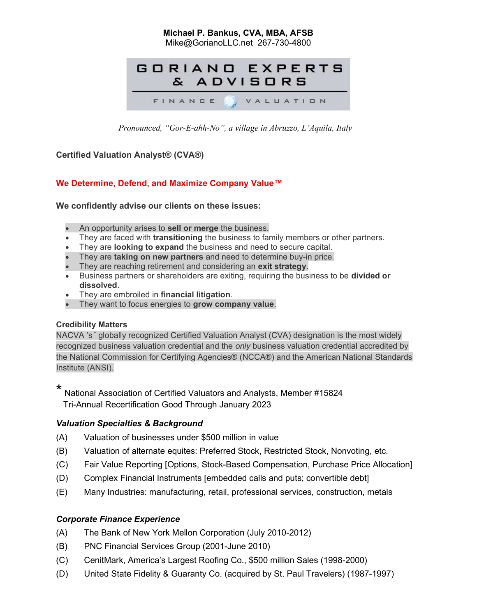# Michael P. Bankus, CVA, MBA, AFSB

Mike@GorianoLLC.net 267-730-4800



Pronounced, "Gor-E-ahh-No", a village in Abruzzo, L'Aquila, Italy

## Certified Valuation Analyst® (CVA®)

# We Determine, Defend, and Maximize Company Value™

We confidently advise our clients on these issues:

- An opportunity arises to **sell or merge** the business.
- They are faced with **transitioning** the business to family members or other partners.
- They are **looking to expand** the business and need to secure capital.
- They are **taking on new partners** and need to determine buy-in price.
- They are reaching retirement and considering an exit strategy.
- **Business partners or shareholders are exiting, requiring the business to be divided or** dissolved.
- They are embroiled in financial litigation.
- They want to focus energies to grow company value.

#### Credibility Matters

NACVA 's \* globally recognized Certified Valuation Analyst (CVA) designation is the most widely recognized business valuation credential and the only business valuation credential accredited by the National Commission for Certifying Agencies® (NCCA®) and the American National Standards Institute (ANSI).

\* National Association of Certified Valuators and Analysts, Member #15824 Tri-Annual Recertification Good Through January 2023

#### Valuation Specialties & Background

- (A) Valuation of businesses under \$500 million in value
- (B) Valuation of alternate equites: Preferred Stock, Restricted Stock, Nonvoting, etc.
- (C) Fair Value Reporting [Options, Stock-Based Compensation, Purchase Price Allocation]
- (D) Complex Financial Instruments [embedded calls and puts; convertible debt]
- (E) Many Industries: manufacturing, retail, professional services, construction, metals

# Corporate Finance Experience

- (A) The Bank of New York Mellon Corporation (July 2010-2012)
- (B) PNC Financial Services Group (2001-June 2010)
- (C) CenitMark, America's Largest Roofing Co., \$500 million Sales (1998-2000)
- (D) United State Fidelity & Guaranty Co. (acquired by St. Paul Travelers) (1987-1997)